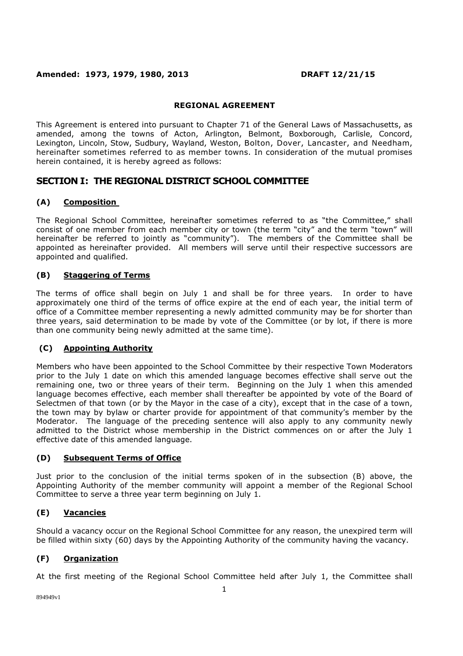### **Amended: 1973, 1979, 1980, 2013 DRAFT 12/21/15**

#### **REGIONAL AGREEMENT**

This Agreement is entered into pursuant to Chapter 71 of the General Laws of Massachusetts, as amended, among the towns of Acton, Arlington, Belmont, Boxborough, Carlisle, Concord, Lexington, Lincoln, Stow, Sudbury, Wayland, Weston, Bolton, Dover, Lancaster, and Needham, hereinafter sometimes referred to as member towns. In consideration of the mutual promises herein contained, it is hereby agreed as follows:

### **SECTION I: THE REGIONAL DISTRICT SCHOOL COMMITTEE**

#### **(A) Composition**

The Regional School Committee, hereinafter sometimes referred to as "the Committee," shall consist of one member from each member city or town (the term "city" and the term "town" will hereinafter be referred to jointly as "community"). The members of the Committee shall be appointed as hereinafter provided. All members will serve until their respective successors are appointed and qualified.

#### **(B) Staggering of Terms**

The terms of office shall begin on July 1 and shall be for three years. In order to have approximately one third of the terms of office expire at the end of each year, the initial term of office of a Committee member representing a newly admitted community may be for shorter than three years, said determination to be made by vote of the Committee (or by lot, if there is more than one community being newly admitted at the same time).

#### **(C) Appointing Authority**

Members who have been appointed to the School Committee by their respective Town Moderators prior to the July 1 date on which this amended language becomes effective shall serve out the remaining one, two or three years of their term. Beginning on the July 1 when this amended language becomes effective, each member shall thereafter be appointed by vote of the Board of Selectmen of that town (or by the Mayor in the case of a city), except that in the case of a town, the town may by bylaw or charter provide for appointment of that community's member by the Moderator. The language of the preceding sentence will also apply to any community newly admitted to the District whose membership in the District commences on or after the July 1 effective date of this amended language.

#### **(D) Subsequent Terms of Office**

Just prior to the conclusion of the initial terms spoken of in the subsection (B) above, the Appointing Authority of the member community will appoint a member of the Regional School Committee to serve a three year term beginning on July 1.

#### **(E) Vacancies**

Should a vacancy occur on the Regional School Committee for any reason, the unexpired term will be filled within sixty (60) days by the Appointing Authority of the community having the vacancy.

#### **(F) Organization**

At the first meeting of the Regional School Committee held after July 1, the Committee shall

894949v1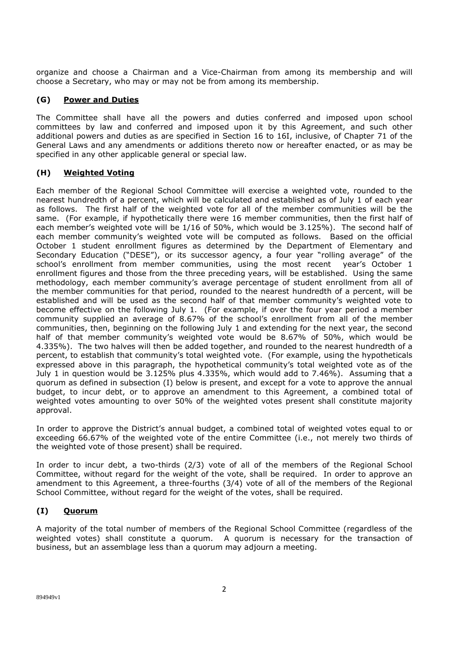organize and choose a Chairman and a Vice-Chairman from among its membership and will choose a Secretary, who may or may not be from among its membership.

### **(G) Power and Duties**

The Committee shall have all the powers and duties conferred and imposed upon school committees by law and conferred and imposed upon it by this Agreement, and such other additional powers and duties as are specified in Section 16 to 16I, inclusive, of Chapter 71 of the General Laws and any amendments or additions thereto now or hereafter enacted, or as may be specified in any other applicable general or special law.

### **(H) Weighted Voting**

Each member of the Regional School Committee will exercise a weighted vote, rounded to the nearest hundredth of a percent, which will be calculated and established as of July 1 of each year as follows. The first half of the weighted vote for all of the member communities will be the same. (For example, if hypothetically there were 16 member communities, then the first half of each member's weighted vote will be 1/16 of 50%, which would be 3.125%). The second half of each member community's weighted vote will be computed as follows. Based on the official October 1 student enrollment figures as determined by the Department of Elementary and Secondary Education ("DESE"), or its successor agency, a four year "rolling average" of the school's enrollment from member communities, using the most recent year's October 1 enrollment figures and those from the three preceding years, will be established. Using the same methodology, each member community's average percentage of student enrollment from all of the member communities for that period, rounded to the nearest hundredth of a percent, will be established and will be used as the second half of that member community's weighted vote to become effective on the following July 1. (For example, if over the four year period a member community supplied an average of 8.67% of the school's enrollment from all of the member communities, then, beginning on the following July 1 and extending for the next year, the second half of that member community's weighted vote would be 8.67% of 50%, which would be 4.335%). The two halves will then be added together, and rounded to the nearest hundredth of a percent, to establish that community's total weighted vote. (For example, using the hypotheticals expressed above in this paragraph, the hypothetical community's total weighted vote as of the July 1 in question would be 3.125% plus 4.335%, which would add to 7.46%). Assuming that a quorum as defined in subsection (I) below is present, and except for a vote to approve the annual budget, to incur debt, or to approve an amendment to this Agreement, a combined total of weighted votes amounting to over 50% of the weighted votes present shall constitute majority approval.

In order to approve the District's annual budget, a combined total of weighted votes equal to or exceeding 66.67% of the weighted vote of the entire Committee (i.e., not merely two thirds of the weighted vote of those present) shall be required.

In order to incur debt, a two-thirds (2/3) vote of all of the members of the Regional School Committee, without regard for the weight of the vote, shall be required. In order to approve an amendment to this Agreement, a three-fourths (3/4) vote of all of the members of the Regional School Committee, without regard for the weight of the votes, shall be required.

# **(I) Quorum**

A majority of the total number of members of the Regional School Committee (regardless of the weighted votes) shall constitute a quorum. A quorum is necessary for the transaction of business, but an assemblage less than a quorum may adjourn a meeting.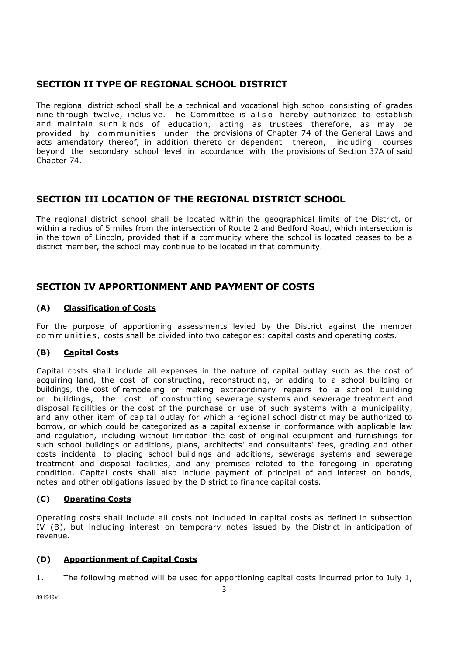# **SECTION II TYPE OF REGIONAL SCHOOL DISTRICT**

The regional district school shall be a technical and vocational high school consisting of grades nine through twelve, inclusive. The Committee is also hereby authorized to establish and maintain such kinds of education, acting as trustees therefore, as may be provided by communities under the provisions of Chapter 74 of the General Laws and acts amendatory thereof, in addition thereto or dependent thereon, including courses beyond the secondary school level in accordance with the provisions of Section 37A of said Chapter 74.

# **SECTION III LOCATION OF THE REGIONAL DISTRICT SCHOOL**

The regional district school shall be located within the geographical limits of the District, or within a radius of 5 miles from the intersection of Route 2 and Bedford Road, which intersection is in the town of Lincoln, provided that if a community where the school is located ceases to be a district member, the school may continue to be located in that community.

# **SECTION IV APPORTIONMENT AND PAYMENT OF COSTS**

## **(A) Classification of Costs**

For the purpose of apportioning assessments levied by the District against the member com munities, costs shall be divided into two categories: capital costs and operating costs.

# **(B) Capital Costs**

Capital costs shall include all expenses in the nature of capital outlay such as the cost of acquiring land, the cost of constructing, reconstructing, or adding to a school building or buildings, the cost of remodeling or making extraordinary repairs to a school building or buildings, the cost of constructing sewerage systems and sewerage treatment and disposal facilities or the cost of the purchase or use of such systems with a municipality, and any other item of capital outlay for which a regional school district may be authorized to borrow, or which could be categorized as a capital expense in conformance with applicable law and regulation, including without limitation the cost of original equipment and furnishings for such school buildings or additions, plans, architects' and consultants' fees, grading and other costs incidental to placing school buildings and additions, sewerage systems and sewerage treatment and disposal facilities, and any premises related to the foregoing in operating condition. Capital costs shall also include payment of principal of and interest on bonds, notes and other obligations issued by the District to finance capital costs.

### **(C) Operating Costs**

Operating costs shall include all costs not included in capital costs as defined in subsection IV (B), but including interest on temporary notes issued by the District in anticipation of revenue.

# **(D) Apportionment of Capital Costs**

1. The following method will be used for apportioning capital costs incurred prior to July 1,

894949v1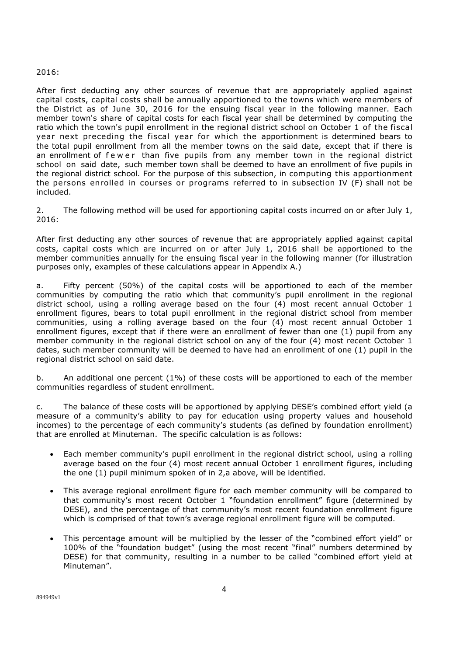#### 2016:

After first deducting any other sources of revenue that are appropriately applied against capital costs, capital costs shall be annually apportioned to the towns which were members of the District as of June 30, 2016 for the ensuing fiscal year in the following manner. Each member town's share of capital costs for each fiscal year shall be determined by computing the ratio which the town's pupil enrollment in the regional district school on October 1 of the fiscal year next preceding the fiscal year for which the apportionment is determined bears to the total pupil enrollment from all the member towns on the said date, except that if there is an enrollment of fewer than five pupils from any member town in the regional district school on said date, such member town shall be deemed to have an enrollment of five pupils in the regional district school. For the purpose of this subsection, in computing this apportionment the persons enrolled in courses or programs referred to in subsection IV (F) shall not be included.

2. The following method will be used for apportioning capital costs incurred on or after July 1, 2016:

After first deducting any other sources of revenue that are appropriately applied against capital costs, capital costs which are incurred on or after July 1, 2016 shall be apportioned to the member communities annually for the ensuing fiscal year in the following manner (for illustration purposes only, examples of these calculations appear in Appendix A.)

a. Fifty percent (50%) of the capital costs will be apportioned to each of the member communities by computing the ratio which that community's pupil enrollment in the regional district school, using a rolling average based on the four (4) most recent annual October 1 enrollment figures, bears to total pupil enrollment in the regional district school from member communities, using a rolling average based on the four (4) most recent annual October 1 enrollment figures, except that if there were an enrollment of fewer than one (1) pupil from any member community in the regional district school on any of the four (4) most recent October 1 dates, such member community will be deemed to have had an enrollment of one (1) pupil in the regional district school on said date.

b. An additional one percent (1%) of these costs will be apportioned to each of the member communities regardless of student enrollment.

c. The balance of these costs will be apportioned by applying DESE's combined effort yield (a measure of a community's ability to pay for education using property values and household incomes) to the percentage of each community's students (as defined by foundation enrollment) that are enrolled at Minuteman. The specific calculation is as follows:

- Each member community's pupil enrollment in the regional district school, using a rolling average based on the four (4) most recent annual October 1 enrollment figures, including the one (1) pupil minimum spoken of in 2,a above, will be identified.
- This average regional enrollment figure for each member community will be compared to that community's most recent October 1 "foundation enrollment" figure (determined by DESE), and the percentage of that community's most recent foundation enrollment figure which is comprised of that town's average regional enrollment figure will be computed.
- This percentage amount will be multiplied by the lesser of the "combined effort yield" or 100% of the "foundation budget" (using the most recent "final" numbers determined by DESE) for that community, resulting in a number to be called "combined effort yield at Minuteman".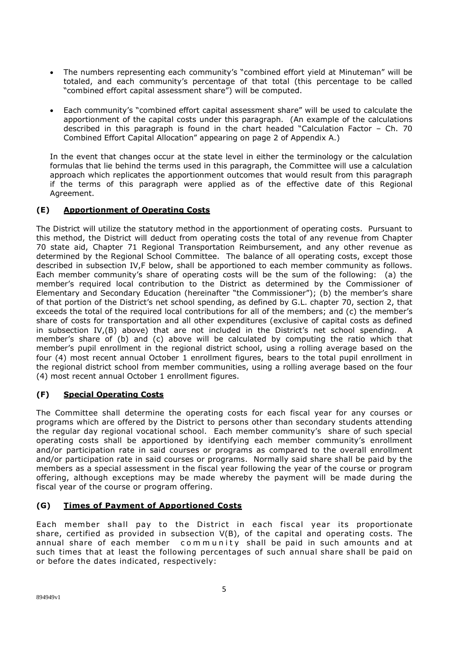- The numbers representing each community's "combined effort yield at Minuteman" will be totaled, and each community's percentage of that total (this percentage to be called "combined effort capital assessment share") will be computed.
- Each community's "combined effort capital assessment share" will be used to calculate the apportionment of the capital costs under this paragraph. (An example of the calculations described in this paragraph is found in the chart headed "Calculation Factor – Ch. 70 Combined Effort Capital Allocation" appearing on page 2 of Appendix A.)

In the event that changes occur at the state level in either the terminology or the calculation formulas that lie behind the terms used in this paragraph, the Committee will use a calculation approach which replicates the apportionment outcomes that would result from this paragraph if the terms of this paragraph were applied as of the effective date of this Regional Agreement.

### **(E) Apportionment of Operating Costs**

The District will utilize the statutory method in the apportionment of operating costs. Pursuant to this method, the District will deduct from operating costs the total of any revenue from Chapter 70 state aid, Chapter 71 Regional Transportation Reimbursement, and any other revenue as determined by the Regional School Committee. The balance of all operating costs, except those described in subsection IV,F below, shall be apportioned to each member community as follows. Each member community's share of operating costs will be the sum of the following: (a) the member's required local contribution to the District as determined by the Commissioner of Elementary and Secondary Education (hereinafter "the Commissioner"); (b) the member's share of that portion of the District's net school spending, as defined by G.L. chapter 70, section 2, that exceeds the total of the required local contributions for all of the members; and (c) the member's share of costs for transportation and all other expenditures (exclusive of capital costs as defined in subsection IV,(B) above) that are not included in the District's net school spending. A member's share of (b) and (c) above will be calculated by computing the ratio which that member's pupil enrollment in the regional district school, using a rolling average based on the four (4) most recent annual October 1 enrollment figures, bears to the total pupil enrollment in the regional district school from member communities, using a rolling average based on the four (4) most recent annual October 1 enrollment figures.

### **(F) Special Operating Costs**

The Committee shall determine the operating costs for each fiscal year for any courses or programs which are offered by the District to persons other than secondary students attending the regular day regional vocational school. Each member community's share of such special operating costs shall be apportioned by identifying each member community's enrollment and/or participation rate in said courses or programs as compared to the overall enrollment and/or participation rate in said courses or programs. Normally said share shall be paid by the members as a special assessment in the fiscal year following the year of the course or program offering, although exceptions may be made whereby the payment will be made during the fiscal year of the course or program offering.

### **(G) Times of Payment of Apportioned Costs**

Each member shall pay to the District in each fiscal year its proportionate share, certified as provided in subsection V(B), of the capital and operating costs. The annual share of each member community shall be paid in such amounts and at such times that at least the following percentages of such annual share shall be paid on or before the dates indicated, respectively: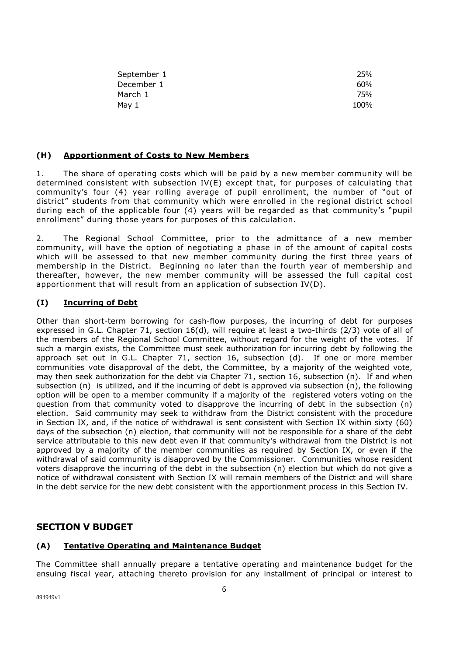| September 1 | 25%  |
|-------------|------|
| December 1  | 60%  |
| March 1     | 75%  |
| May 1       | 100% |

#### **(H) Apportionment of Costs to New Members**

1. The share of operating costs which will be paid by a new member community will be determined consistent with subsection IV(E) except that, for purposes of calculating that community's four (4) year rolling average of pupil enrollment, the number of "out of district" students from that community which were enrolled in the regional district school during each of the applicable four (4) years will be regarded as that community's "pupil enrollment" during those years for purposes of this calculation.

2. The Regional School Committee, prior to the admittance of a new member community, will have the option of negotiating a phase in of the amount of capital costs which will be assessed to that new member community during the first three years of membership in the District. Beginning no later than the fourth year of membership and thereafter, however, the new member community will be assessed the full capital cost apportionment that will result from an application of subsection IV(D).

#### **(I) Incurring of Debt**

Other than short-term borrowing for cash-flow purposes, the incurring of debt for purposes expressed in G.L. Chapter 71, section 16(d), will require at least a two-thirds (2/3) vote of all of the members of the Regional School Committee, without regard for the weight of the votes. If such a margin exists, the Committee must seek authorization for incurring debt by following the approach set out in G.L. Chapter 71, section 16, subsection (d). If one or more member communities vote disapproval of the debt, the Committee, by a majority of the weighted vote, may then seek authorization for the debt via Chapter 71, section 16, subsection (n). If and when subsection (n) is utilized, and if the incurring of debt is approved via subsection (n), the following option will be open to a member community if a majority of the registered voters voting on the question from that community voted to disapprove the incurring of debt in the subsection (n) election. Said community may seek to withdraw from the District consistent with the procedure in Section IX, and, if the notice of withdrawal is sent consistent with Section IX within sixty (60) days of the subsection (n) election, that community will not be responsible for a share of the debt service attributable to this new debt even if that community's withdrawal from the District is not approved by a majority of the member communities as required by Section IX, or even if the withdrawal of said community is disapproved by the Commissioner. Communities whose resident voters disapprove the incurring of the debt in the subsection (n) election but which do not give a notice of withdrawal consistent with Section IX will remain members of the District and will share in the debt service for the new debt consistent with the apportionment process in this Section IV.

# **SECTION V BUDGET**

#### **(A) Tentative Operating and Maintenance Budget**

The Committee shall annually prepare a tentative operating and maintenance budget for the ensuing fiscal year, attaching thereto provision for any installment of principal or interest to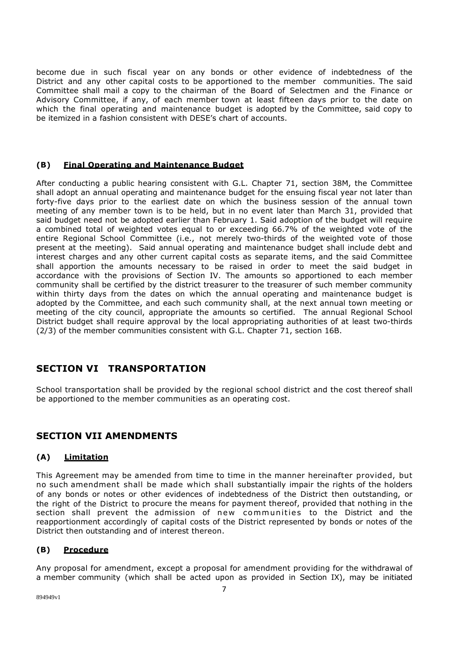become due in such fiscal year on any bonds or other evidence of indebtedness of the District and any other capital costs to be apportioned to the member communities. The said Committee shall mail a copy to the chairman of the Board of Selectmen and the Finance or Advisory Committee, if any, of each member town at least fifteen days prior to the date on which the final operating and maintenance budget is adopted by the Committee, said copy to be itemized in a fashion consistent with DESE's chart of accounts.

#### **(B) Final Operating and Maintenance Budget**

After conducting a public hearing consistent with G.L. Chapter 71, section 38M, the Committee shall adopt an annual operating and maintenance budget for the ensuing fiscal year not later than forty-five days prior to the earliest date on which the business session of the annual town meeting of any member town is to be held, but in no event later than March 31, provided that said budget need not be adopted earlier than February 1. Said adoption of the budget will require a combined total of weighted votes equal to or exceeding 66.7% of the weighted vote of the entire Regional School Committee (i.e., not merely two-thirds of the weighted vote of those present at the meeting). Said annual operating and maintenance budget shall include debt and interest charges and any other current capital costs as separate items, and the said Committee shall apportion the amounts necessary to be raised in order to meet the said budget in accordance with the provisions of Section IV. The amounts so apportioned to each member community shall be certified by the district treasurer to the treasurer of such member community within thirty days from the dates on which the annual operating and maintenance budget is adopted by the Committee, and each such community shall, at the next annual town meeting or meeting of the city council, appropriate the amounts so certified. The annual Regional School District budget shall require approval by the local appropriating authorities of at least two-thirds (2/3) of the member communities consistent with G.L. Chapter 71, section 16B.

# **SECTION VI TRANSPORTATION**

School transportation shall be provided by the regional school district and the cost thereof shall be apportioned to the member communities as an operating cost.

# **SECTION VII AMENDMENTS**

#### **(A) Limitation**

This Agreement may be amended from time to time in the manner hereinafter provided, but no such amendment shall be made which shall substantially impair the rights of the holders of any bonds or notes or other evidences of indebtedness of the District then outstanding, or the right of the District to procure the means for payment thereof, provided that nothing in the section shall prevent the admission of new communities to the District and the reapportionment accordingly of capital costs of the District represented by bonds or notes of the District then outstanding and of interest thereon.

#### **(B) Procedure**

Any proposal for amendment, except a proposal for amendment providing for the withdrawal of a member community (which shall be acted upon as provided in Section IX), may be initiated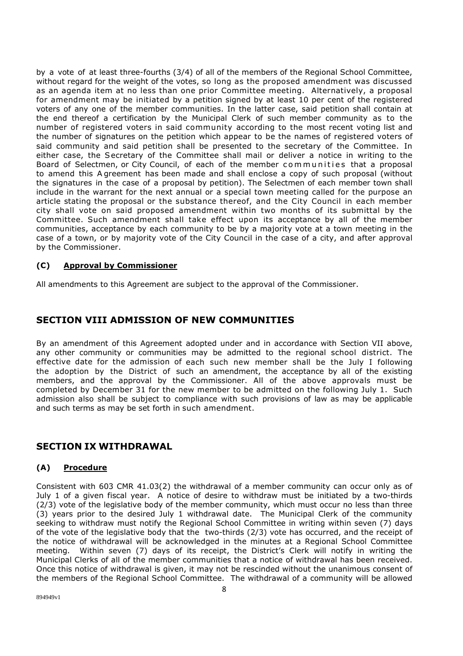by a vote of at least three-fourths (3/4) of all of the members of the Regional School Committee, without regard for the weight of the votes, so long as the proposed amendment was discussed as an agenda item at no less than one prior Committee meeting. Alternatively, a proposal for amendment may be initiated by a petition signed by at least 10 per cent of the registered voters of any one of the member communities. In the latter case, said petition shall contain at the end thereof a certification by the Municipal Clerk of such member community as to the number of registered voters in said community according to the most recent voting list and the number of signatures on the petition which appear to be the names of registered voters of said community and said petition shall be presented to the secretary of the Committee. In either case, the Secretary of the Committee shall mail or deliver a notice in writing to the Board of Selectmen, or City Council, of each of the member communities that a proposal to amend this A greement has been made and shall enclose a copy of such proposal (without the signatures in the case of a proposal by petition). The Selectmen of each member town shall include in the warrant for the next annual or a special town meeting called for the purpose an article stating the proposal or the substance thereof, and the City Council in each member city shall vote on said proposed amendment within two months of its submittal by the Committee. Such amendment shall take effect upon its acceptance by all of the member communities, acceptance by each community to be by a majority vote at a town meeting in the case of a town, or by majority vote of the City Council in the case of a city, and after approval by the Commissioner.

#### **(C) Approval by Commissioner**

All amendments to this Agreement are subject to the approval of the Commissioner.

## **SECTION VIII ADMISSION OF NEW COMMUNITIES**

By an amendment of this Agreement adopted under and in accordance with Section VII above, any other community or communities may be admitted to the regional school district. The effective date for the admission of each such new member shall be the July I following the adoption by the District of such an amendment, the acceptance by all of the existing members, and the approval by the Commissioner. All of the above approvals must be completed by December 31 for the new member to be admitted on the following July 1. Such admission also shall be subject to compliance with such provisions of law as may be applicable and such terms as may be set forth in such amendment.

# **SECTION IX WITHDRAWAL**

#### **(A) Procedure**

Consistent with 603 CMR 41.03(2) the withdrawal of a member community can occur only as of July 1 of a given fiscal year. A notice of desire to withdraw must be initiated by a two-thirds (2/3) vote of the legislative body of the member community, which must occur no less than three (3) years prior to the desired July 1 withdrawal date. The Municipal Clerk of the community seeking to withdraw must notify the Regional School Committee in writing within seven (7) days of the vote of the legislative body that the two-thirds (2/3) vote has occurred, and the receipt of the notice of withdrawal will be acknowledged in the minutes at a Regional School Committee meeting. Within seven (7) days of its receipt, the District's Clerk will notify in writing the Municipal Clerks of all of the member communities that a notice of withdrawal has been received. Once this notice of withdrawal is given, it may not be rescinded without the unanimous consent of the members of the Regional School Committee. The withdrawal of a community will be allowed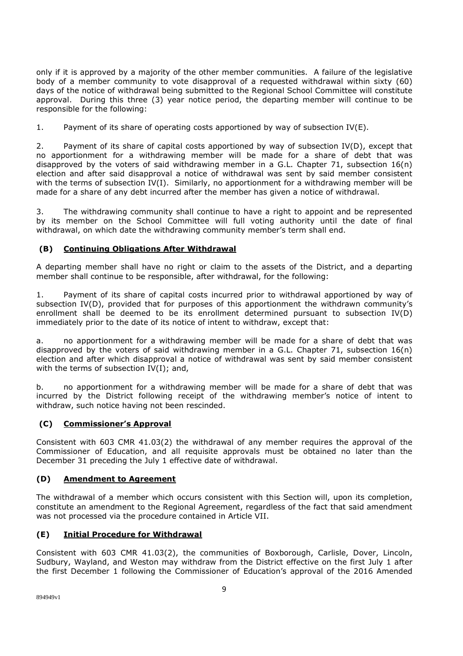only if it is approved by a majority of the other member communities. A failure of the legislative body of a member community to vote disapproval of a requested withdrawal within sixty (60) days of the notice of withdrawal being submitted to the Regional School Committee will constitute approval. During this three (3) year notice period, the departing member will continue to be responsible for the following:

1. Payment of its share of operating costs apportioned by way of subsection IV(E).

2. Payment of its share of capital costs apportioned by way of subsection IV(D), except that no apportionment for a withdrawing member will be made for a share of debt that was disapproved by the voters of said withdrawing member in a G.L. Chapter 71, subsection 16(n) election and after said disapproval a notice of withdrawal was sent by said member consistent with the terms of subsection  $IV(I)$ . Similarly, no apportionment for a withdrawing member will be made for a share of any debt incurred after the member has given a notice of withdrawal.

3. The withdrawing community shall continue to have a right to appoint and be represented by its member on the School Committee will full voting authority until the date of final withdrawal, on which date the withdrawing community member's term shall end.

#### **(B) Continuing Obligations After Withdrawal**

A departing member shall have no right or claim to the assets of the District, and a departing member shall continue to be responsible, after withdrawal, for the following:

1. Payment of its share of capital costs incurred prior to withdrawal apportioned by way of subsection IV(D), provided that for purposes of this apportionment the withdrawn community's enrollment shall be deemed to be its enrollment determined pursuant to subsection IV(D) immediately prior to the date of its notice of intent to withdraw, except that:

a. no apportionment for a withdrawing member will be made for a share of debt that was disapproved by the voters of said withdrawing member in a G.L. Chapter 71, subsection  $16(n)$ election and after which disapproval a notice of withdrawal was sent by said member consistent with the terms of subsection  $IV(I)$ ; and,

b. no apportionment for a withdrawing member will be made for a share of debt that was incurred by the District following receipt of the withdrawing member's notice of intent to withdraw, such notice having not been rescinded.

#### **(C) Commissioner's Approval**

Consistent with 603 CMR 41.03(2) the withdrawal of any member requires the approval of the Commissioner of Education, and all requisite approvals must be obtained no later than the December 31 preceding the July 1 effective date of withdrawal.

#### **(D) Amendment to Agreement**

The withdrawal of a member which occurs consistent with this Section will, upon its completion, constitute an amendment to the Regional Agreement, regardless of the fact that said amendment was not processed via the procedure contained in Article VII.

#### **(E) Initial Procedure for Withdrawal**

Consistent with 603 CMR 41.03(2), the communities of Boxborough, Carlisle, Dover, Lincoln, Sudbury, Wayland, and Weston may withdraw from the District effective on the first July 1 after the first December 1 following the Commissioner of Education's approval of the 2016 Amended